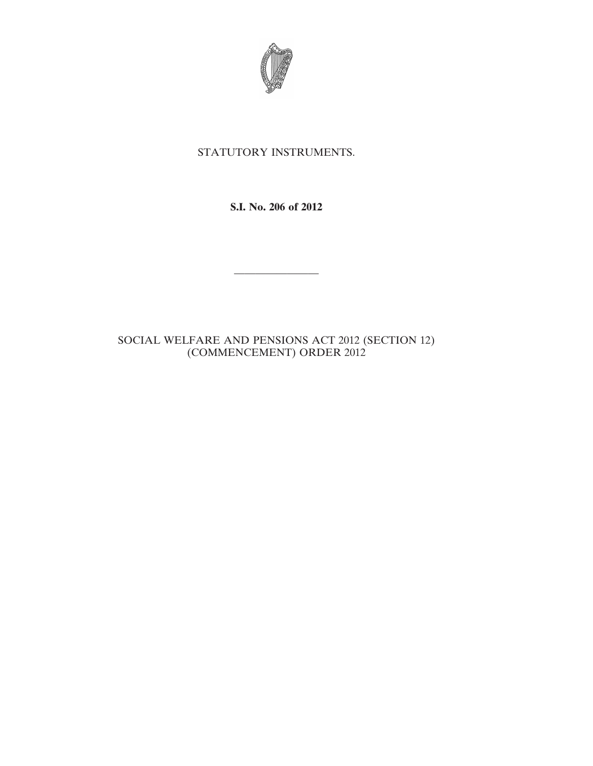

## STATUTORY INSTRUMENTS.

**S.I. No. 206 of 2012**

————————

## SOCIAL WELFARE AND PENSIONS ACT 2012 (SECTION 12) (COMMENCEMENT) ORDER 2012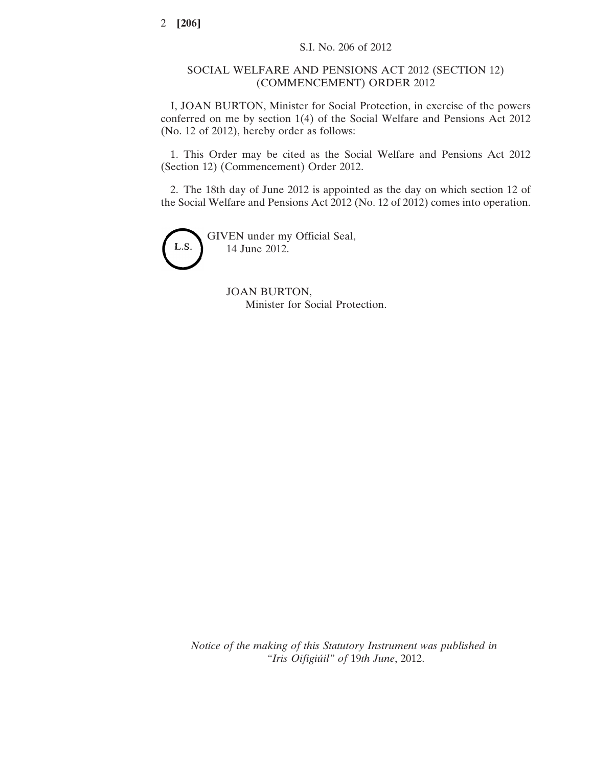## SOCIAL WELFARE AND PENSIONS ACT 2012 (SECTION 12) (COMMENCEMENT) ORDER 2012

I, JOAN BURTON, Minister for Social Protection, in exercise of the powers conferred on me by section 1(4) of the Social Welfare and Pensions Act 2012 (No. 12 of 2012), hereby order as follows:

1. This Order may be cited as the Social Welfare and Pensions Act 2012 (Section 12) (Commencement) Order 2012.

2. The 18th day of June 2012 is appointed as the day on which section 12 of the Social Welfare and Pensions Act 2012 (No. 12 of 2012) comes into operation.



GIVEN under my Official Seal, 14 June 2012.

> JOAN BURTON, Minister for Social Protection.

*Notice of the making of this Statutory Instrument was published in "Iris Oifigiúil" of* 19*th June*, 2012.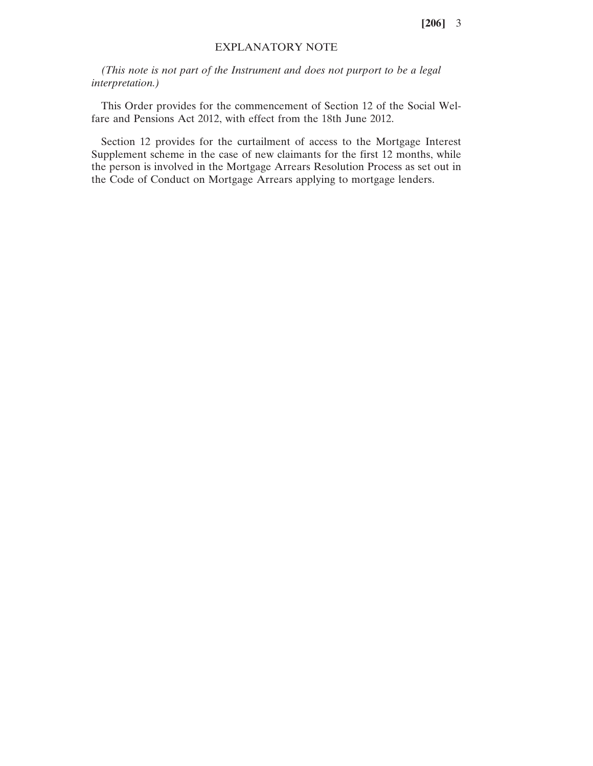## EXPLANATORY NOTE

*(This note is not part of the Instrument and does not purport to be a legal interpretation.)*

This Order provides for the commencement of Section 12 of the Social Welfare and Pensions Act 2012, with effect from the 18th June 2012.

Section 12 provides for the curtailment of access to the Mortgage Interest Supplement scheme in the case of new claimants for the first 12 months, while the person is involved in the Mortgage Arrears Resolution Process as set out in the Code of Conduct on Mortgage Arrears applying to mortgage lenders.